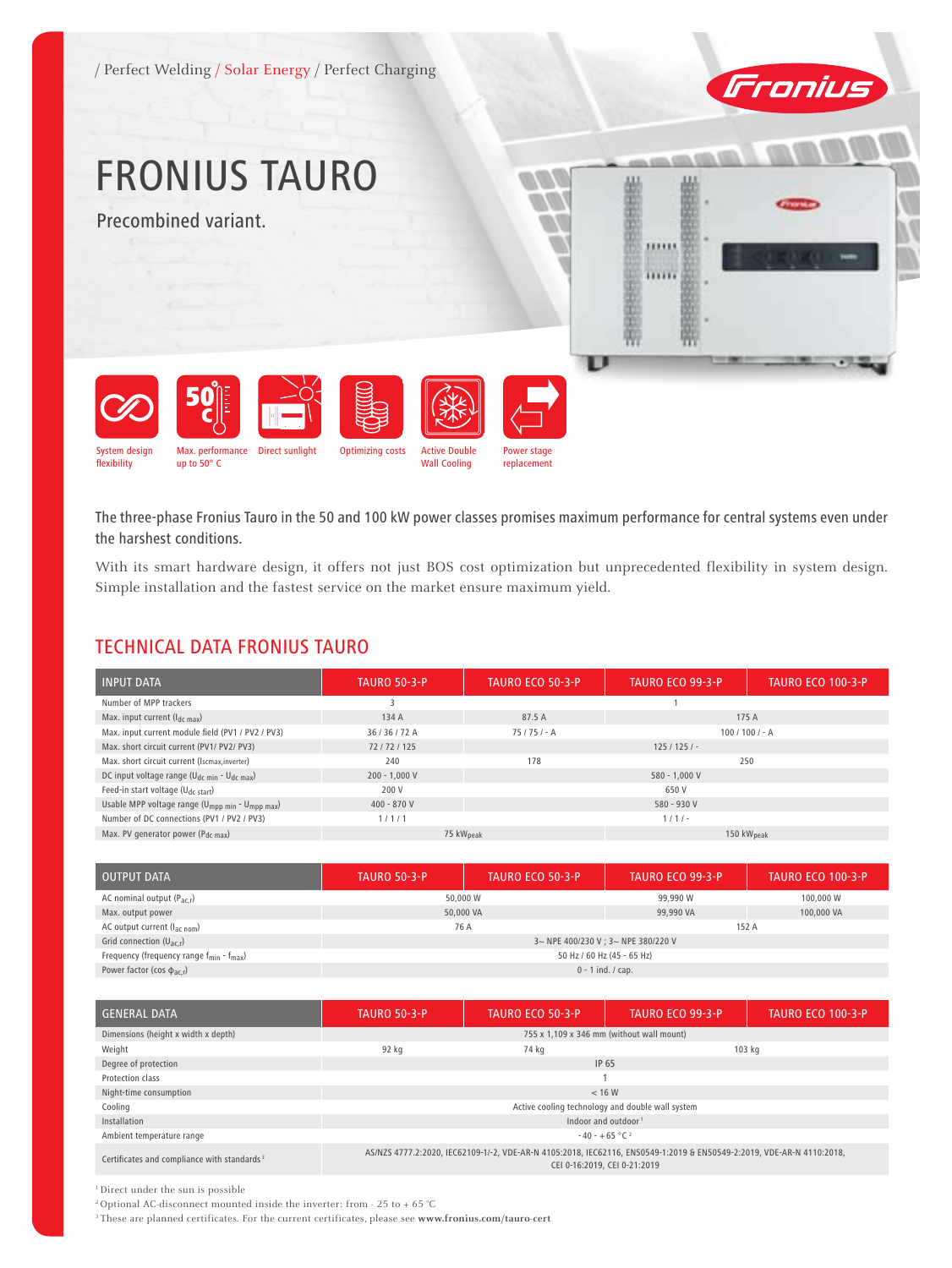/ Perfect Welding / Solar Energy / Perfect Charging



# FRONIUS TAURO

Precombined variant.





The three-phase Fronius Tauro in the 50 and 100 kW power classes promises maximum performance for central systems even under the harshest conditions.

Power stage replacement

With its smart hardware design, it offers not just BOS cost optimization but unprecedented flexibility in system design. Simple installation and the fastest service on the market ensure maximum yield.

# TECHNICAL DATA FRONIUS TAURO

| <b>INPUT DATA</b>                                                       | <b>TAURO 50-3-P</b>                             | <b>TAURO ECO 50-3-P</b>          | TAURO ECO 99-3-P | <b>TAURO ECO 100-3-P</b> |
|-------------------------------------------------------------------------|-------------------------------------------------|----------------------------------|------------------|--------------------------|
| Number of MPP trackers                                                  |                                                 |                                  |                  |                          |
| Max. input current $(I_{dc max})$                                       | 134 A                                           | 87.5 A                           |                  | 175 A                    |
| Max. input current module field (PV1 / PV2 / PV3)                       | 36/36/72A                                       | $100 / 100 / - A$<br>$75/75/- A$ |                  |                          |
| Max. short circuit current (PV1/ PV2/ PV3)                              | 72/72/125                                       | $125/125/-$                      |                  |                          |
| Max. short circuit current (Iscmax, inverter)                           | 240                                             | 178<br>250                       |                  |                          |
| DC input voltage range (U <sub>dc min</sub> - U <sub>dc max</sub> )     | $200 - 1,000 V$                                 | 580 - 1,000 V                    |                  |                          |
| Feed-in start voltage (U <sub>dc start</sub> )                          | 200 V                                           | 650 V                            |                  |                          |
| Usable MPP voltage range (U <sub>mpp min</sub> - U <sub>mpp max</sub> ) | $400 - 870V$                                    | 580 - 930 V                      |                  |                          |
| Number of DC connections (PV1 / PV2 / PV3)                              | 1/1/1                                           |                                  | $1/1/-$          |                          |
| Max. PV generator power (P <sub>dc max</sub> )                          | 75 kW <sub>peak</sub><br>150 kW <sub>peak</sub> |                                  |                  |                          |

| <b>OUTPUT DATA</b>                                             | <b>TAURO 50-3-P</b>                 | <b>TAURO ECO 50-3-P</b> | TAURO ECO 99-3-P | <b>TAURO ECO 100-3-P</b> |  |
|----------------------------------------------------------------|-------------------------------------|-------------------------|------------------|--------------------------|--|
| AC nominal output $(P_{ac,r})$                                 | 50,000 W                            |                         | 99,990 W         | 100,000 W                |  |
| Max. output power                                              | 50,000 VA                           |                         | 99,990 VA        | 100,000 VA               |  |
| AC output current $(I_{\text{ac nom}})$                        | 76 A                                |                         | 152 A            |                          |  |
| Grid connection $(U_{ac,r})$                                   | 3~ NPE 400/230 V ; 3~ NPE 380/220 V |                         |                  |                          |  |
| Frequency (frequency range $f_{\text{min}} - f_{\text{max}}$ ) | 50 Hz / 60 Hz (45 - 65 Hz)          |                         |                  |                          |  |
| Power factor (cos $\phi_{\text{ac,r}}$ )                       | $0 - 1$ ind. / cap.                 |                         |                  |                          |  |

| <b>GENERAL DATA</b>                                     | <b>TAURO 50-3-P</b>                                                                                                                                   | <b>TAURO ECO 50-3-P</b> | <b>TAURO ECO 99-3-P</b> | <b>TAURO ECO 100-3-P</b> |
|---------------------------------------------------------|-------------------------------------------------------------------------------------------------------------------------------------------------------|-------------------------|-------------------------|--------------------------|
| Dimensions (height x width x depth)                     | 755 x 1.109 x 346 mm (without wall mount)                                                                                                             |                         |                         |                          |
| Weight                                                  | 92 kg                                                                                                                                                 | 74 kg                   |                         | 103 kg                   |
| Degree of protection                                    | IP 65                                                                                                                                                 |                         |                         |                          |
| Protection class                                        |                                                                                                                                                       |                         |                         |                          |
| Night-time consumption                                  | < 16 W                                                                                                                                                |                         |                         |                          |
| Cooling                                                 | Active cooling technology and double wall system                                                                                                      |                         |                         |                          |
| Installation                                            | Indoor and outdoor <sup>1</sup>                                                                                                                       |                         |                         |                          |
| Ambient temperature range                               | $-40 - +65$ °C <sup>2</sup>                                                                                                                           |                         |                         |                          |
| Certificates and compliance with standards <sup>3</sup> | AS/NZS 4777.2:2020, IEC62109-1/-2, VDE-AR-N 4105:2018, IEC62116, EN50549-1:2019 & EN50549-2:2019, VDE-AR-N 4110:2018,<br>CEI 0-16:2019, CEI 0-21:2019 |                         |                         |                          |

1 Direct under the sun is possible

 $^2$  Optional AC-disconnect mounted inside the inverter: from - 25 to + 65  $^{\circ}\textrm{C}$ 

3 These are planned certificates. For the current certificates, please see **www.fronius.com/tauro-cert**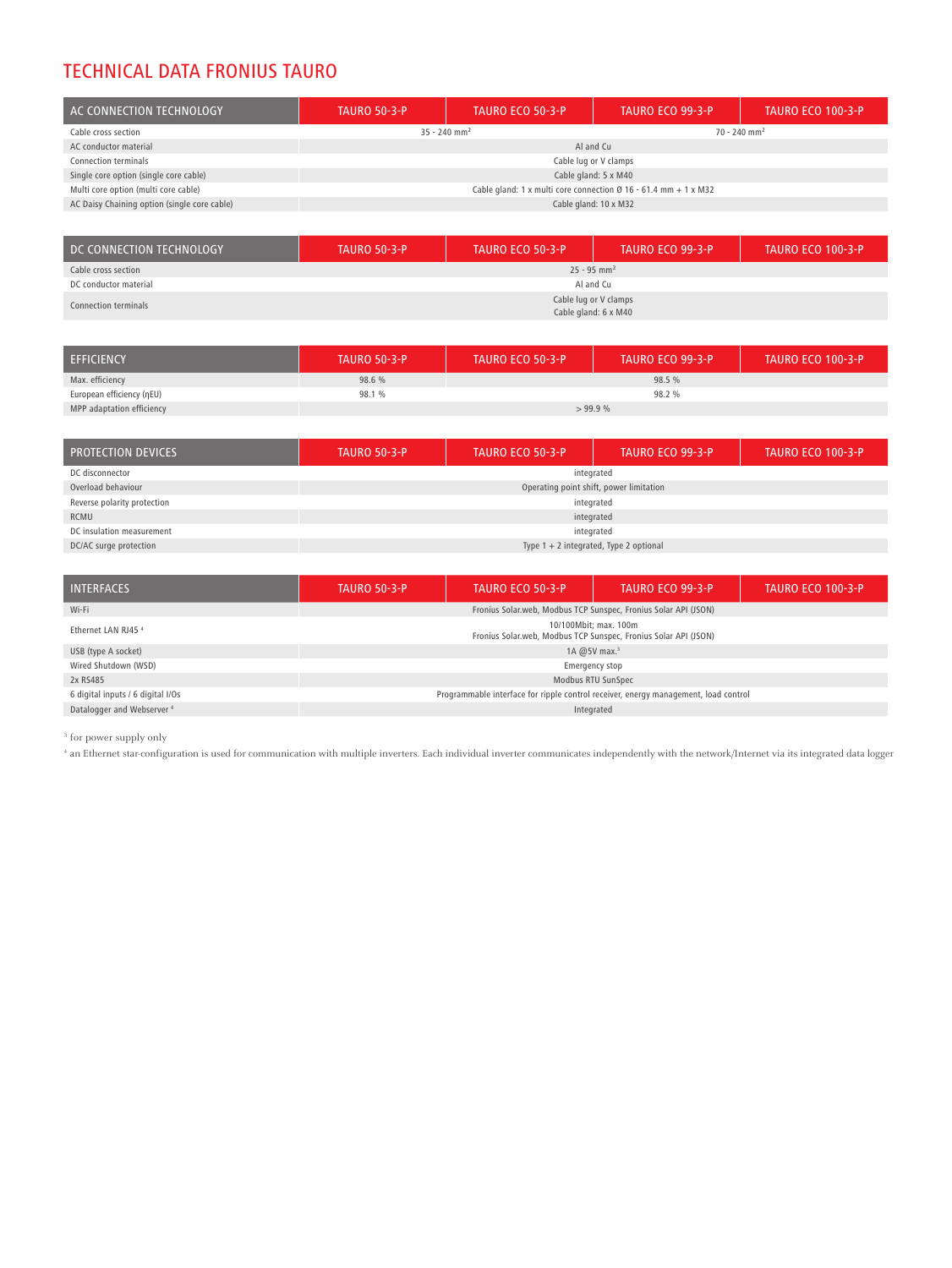## TECHNICAL DATA FRONIUS TAURO

| AC CONNECTION TECHNOLOGY                     | <b>TAURO 50-3-P</b>                                                         | <b>TAURO ECO 50-3-P</b> | TAURO ECO 99-3-P           | <b>TAURO ECO 100-3-P</b> |  |
|----------------------------------------------|-----------------------------------------------------------------------------|-------------------------|----------------------------|--------------------------|--|
| Cable cross section                          | $35 - 240$ mm <sup>2</sup>                                                  |                         | $70 - 240$ mm <sup>2</sup> |                          |  |
| AC conductor material                        |                                                                             | Al and Cu               |                            |                          |  |
| Connection terminals                         | Cable lug or V clamps                                                       |                         |                            |                          |  |
| Single core option (single core cable)       | Cable gland: 5 x M40                                                        |                         |                            |                          |  |
| Multi core option (multi core cable)         | Cable gland: 1 x multi core connection $\varnothing$ 16 - 61.4 mm + 1 x M32 |                         |                            |                          |  |
| AC Daisy Chaining option (single core cable) | Cable gland: 10 x M32                                                       |                         |                            |                          |  |

| DC CONNECTION TECHNOLOGY | <b>TAURO 50-3-P</b>                           | <b>TAURO ECO 50-3-P</b> | TAURO ECO 99-3-P | LTAURO ECO 100-3-P ' |
|--------------------------|-----------------------------------------------|-------------------------|------------------|----------------------|
| Cable cross section      | $25 - 95$ mm <sup>2</sup>                     |                         |                  |                      |
| DC conductor material    | Al and Cu                                     |                         |                  |                      |
| Connection terminals     | Cable lug or V clamps<br>Cable gland: 6 x M40 |                         |                  |                      |

| <b>EFFICIENCY</b>         | <b>TAURO 50-3-P</b> | <b>TAURO ECO 50-3-P</b> | TAURO ECO 99-3-P | <b>TAURO ECO 100-3-P</b> |
|---------------------------|---------------------|-------------------------|------------------|--------------------------|
| Max. efficiency           | 98.6 %              |                         | 98.5 %           |                          |
| European efficiency (nEU) | 98.1 %              |                         | 98.2 %           |                          |
| MPP adaptation efficiency |                     | >99.9%                  |                  |                          |

| <b>PROTECTION DEVICES</b>   | <b>TAURO 50-3-P</b>                      | <b>TAURO ECO 50-3-P</b> | TAURO ECO 99-3-P | <b>TAURO ECO 100-3-P</b> |
|-----------------------------|------------------------------------------|-------------------------|------------------|--------------------------|
| DC disconnector             | integrated                               |                         |                  |                          |
| Overload behaviour          | Operating point shift, power limitation  |                         |                  |                          |
| Reverse polarity protection | integrated                               |                         |                  |                          |
| RCMU                        | integrated                               |                         |                  |                          |
| DC insulation measurement   | integrated                               |                         |                  |                          |
| DC/AC surge protection      | Type $1 + 2$ integrated, Type 2 optional |                         |                  |                          |

| <b>INTERFACES</b>                     | <b>TAURO 50-3-P</b>                                                                        | <b>TAURO ECO 50-3-P</b> | TAURO ECO 99-3-P | <b>TAURO ECO 100-3-P</b> |
|---------------------------------------|--------------------------------------------------------------------------------------------|-------------------------|------------------|--------------------------|
| Wi-Fi                                 | Fronius Solar.web, Modbus TCP Sunspec, Fronius Solar API (JSON)                            |                         |                  |                          |
| Ethernet LAN RJ45 <sup>4</sup>        | 10/100 Mbit: max. 100 m<br>Fronius Solar.web, Modbus TCP Sunspec, Fronius Solar API (JSON) |                         |                  |                          |
| USB (type A socket)                   | 1A $@5V$ max. <sup>3</sup>                                                                 |                         |                  |                          |
| Wired Shutdown (WSD)                  | Emergency stop                                                                             |                         |                  |                          |
| 2x RS485                              | Modbus RTU SunSpec                                                                         |                         |                  |                          |
| 6 digital inputs / 6 digital I/Os     | Programmable interface for ripple control receiver, energy management, load control        |                         |                  |                          |
| Datalogger and Webserver <sup>4</sup> | Integrated                                                                                 |                         |                  |                          |

 $^{\rm 3}$  for power supply only

<sup>4</sup> an Ethernet star-configuration is used for communication with multiple inverters. Each individual inverter communicates independently with the network/Internet via its integrated data logger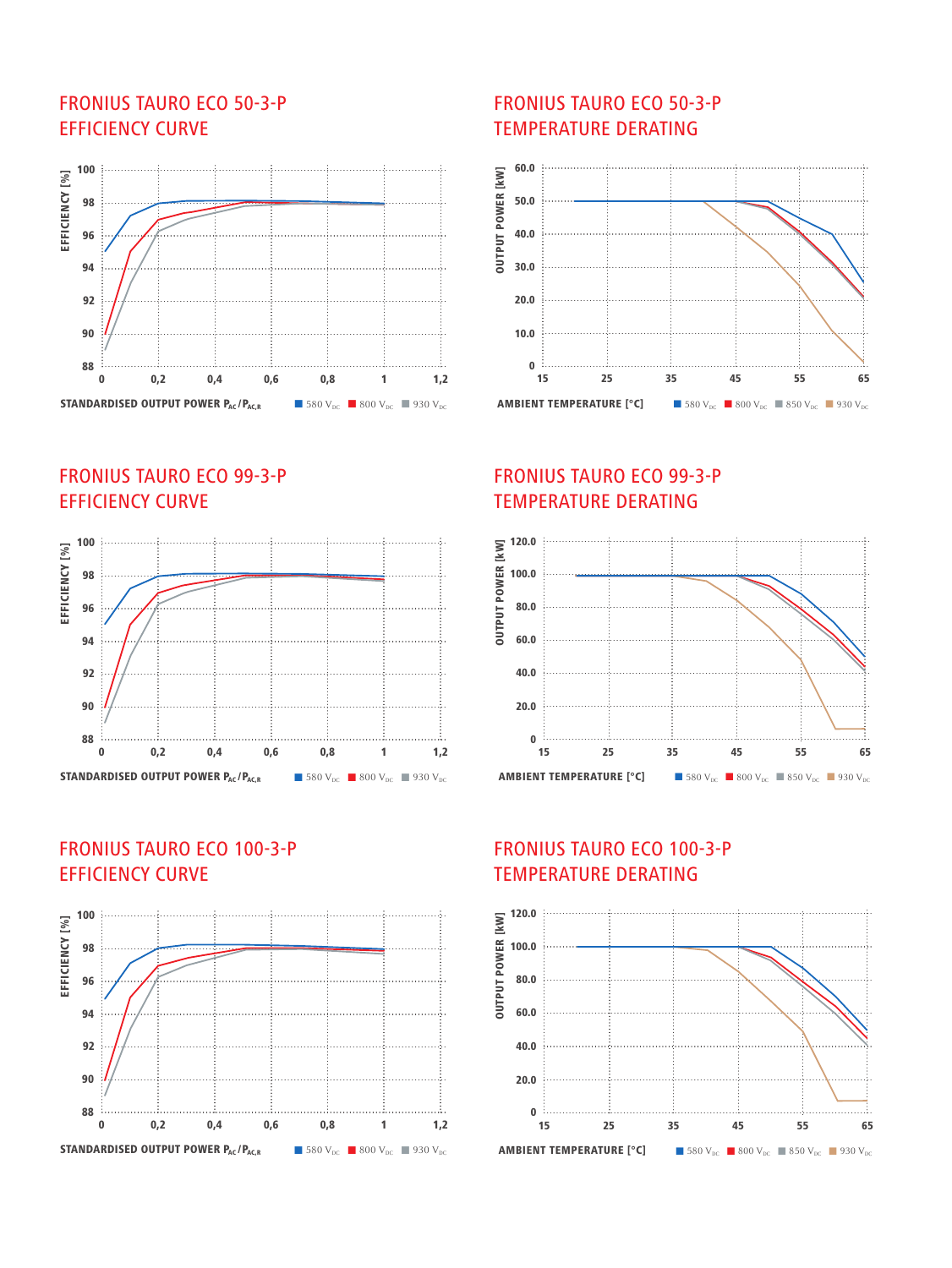### FRONIUS TAURO ECO 50-3-P EFFICIENCY CURVE



FRONIUS TAURO ECO 99-3-P EFFICIENCY CURVE



#### FRONIUS TAURO ECO 100-3-P EFFICIENCY CURVE



#### FRONIUS TAURO ECO 50-3-P TEMPERATURE DERATING



### FRONIUS TAURO ECO 99-3-P TEMPERATURE DERATING



# FRONIUS TAURO ECO 100-3-P TEMPERATURE DERATING